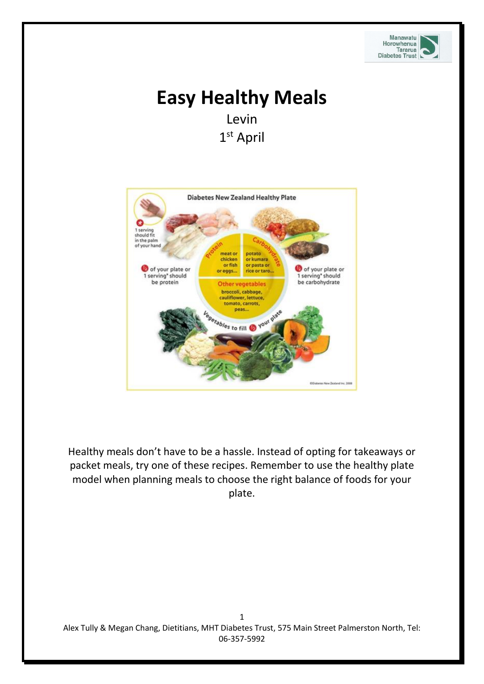

# **Easy Healthy Meals** Levin 1 st April



Healthy meals don't have to be a hassle. Instead of opting for takeaways or packet meals, try one of these recipes. Remember to use the healthy plate model when planning meals to choose the right balance of foods for your plate.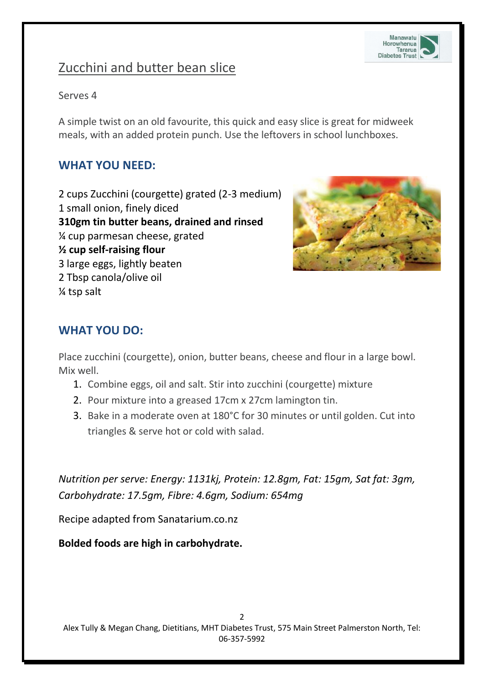

## Zucchini and butter bean slice

#### Serves 4

A simple twist on an old favourite, this quick and easy slice is great for midweek meals, with an added protein punch. Use the leftovers in school lunchboxes.

### **[WHAT YOU NEED:](https://www.sanitarium.com.au/recipes/a-z/zucchini-and-butter-bean-slice#ingredients)**

[2 cups Zucchini \(courgette\) grated \(2-3 medium\)](https://www.sanitarium.com.au/recipes/a-z/zucchini-and-butter-bean-slice#ingredients) [1 small onion, finely diced](https://www.sanitarium.com.au/recipes/a-z/zucchini-and-butter-bean-slice#ingredients) **[310gm tin butter beans, drained and rinsed](https://www.sanitarium.com.au/recipes/a-z/zucchini-and-butter-bean-slice#ingredients)** [¼ cup parmesan cheese, grated](https://www.sanitarium.com.au/recipes/a-z/zucchini-and-butter-bean-slice#ingredients) **[½ cup self-raising flour](https://www.sanitarium.com.au/recipes/a-z/zucchini-and-butter-bean-slice#ingredients)** [3 large eggs, lightly beaten](https://www.sanitarium.com.au/recipes/a-z/zucchini-and-butter-bean-slice#ingredients) [2 Tbsp canola/olive oil](https://www.sanitarium.com.au/recipes/a-z/zucchini-and-butter-bean-slice#ingredients)  [¼ tsp salt](https://www.sanitarium.com.au/recipes/a-z/zucchini-and-butter-bean-slice#ingredients) 



### **[WHAT](https://www.sanitarium.com.au/recipes/a-z/zucchini-and-butter-bean-slice#method) YOU DO:**

Place zucchini (courgette), onion, butter beans, cheese and flour in a large bowl. Mix well.

- 1. Combine eggs, oil and salt. Stir into zucchini (courgette) mixture
- 2. Pour mixture into a greased 17cm x 27cm lamington tin.
- 3. Bake in a moderate oven at 180°C for 30 minutes or until golden. Cut into triangles & serve hot or cold with salad.

*Nutrition per serve: Energy: 1131kj, Protein: 12.8gm, Fat: 15gm, Sat fat: 3gm, Carbohydrate: 17.5gm, Fibre: 4.6gm, Sodium: 654mg* 

Recipe adapted from Sanatarium.co.nz

**Bolded foods are high in carbohydrate.**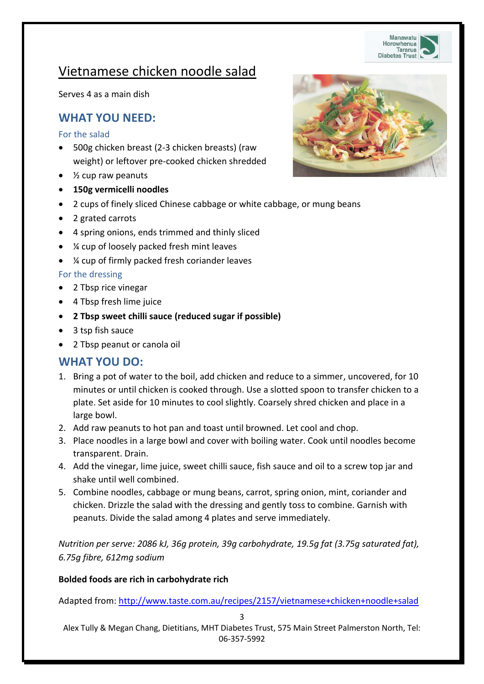

## Vietnamese chicken noodle salad

Serves 4 as a main dish

### **WHAT YOU NEED:**

#### For the salad

- 500g chicken breast (2-3 chicken breasts) (raw weight) or leftover pre-cooked chicken shredded
- $\bullet$   $\frac{1}{2}$  cup raw peanuts
- **150g vermicelli noodles**
- 2 cups of finely sliced Chinese cabbage or white cabbage, or mung beans
- 2 grated carrots
- 4 spring onions, ends trimmed and thinly sliced
- ¼ cup of loosely packed fresh mint leaves
- ¼ cup of firmly packed fresh coriander leaves

#### For the dressing

- 2 Tbsp rice vinegar
- 4 Tbsp fresh lime juice
- **2 Tbsp sweet chilli sauce (reduced sugar if possible)**
- 3 tsp fish sauce
- 2 Tbsp peanut or canola oil

#### **WHAT YOU DO:**

- 1. Bring a pot of water to the boil, add chicken and reduce to a simmer, uncovered, for 10 minutes or until chicken is cooked through. Use a slotted spoon to transfer chicken to a plate. Set aside for 10 minutes to cool slightly. Coarsely shred chicken and place in a large bowl.
- 2. Add raw peanuts to hot pan and toast until browned. Let cool and chop.
- 3. Place noodles in a large bowl and cover with boiling water. Cook until noodles become transparent. Drain.
- 4. Add the vinegar, lime juice, sweet chilli sauce, fish sauce and oil to a screw top jar and shake until well combined.
- 5. Combine noodles, cabbage or mung beans, carrot, spring onion, mint, coriander and chicken. Drizzle the salad with the dressing and gently toss to combine. Garnish with peanuts. Divide the salad among 4 plates and serve immediately.

*Nutrition per serve: 2086 kJ, 36g protein, 39g carbohydrate, 19.5g fat (3.75g saturated fat), 6.75g fibre, 612mg sodium*

#### **Bolded foods are rich in carbohydrate rich**

Adapted from:<http://www.taste.com.au/recipes/2157/vietnamese+chicken+noodle+salad>

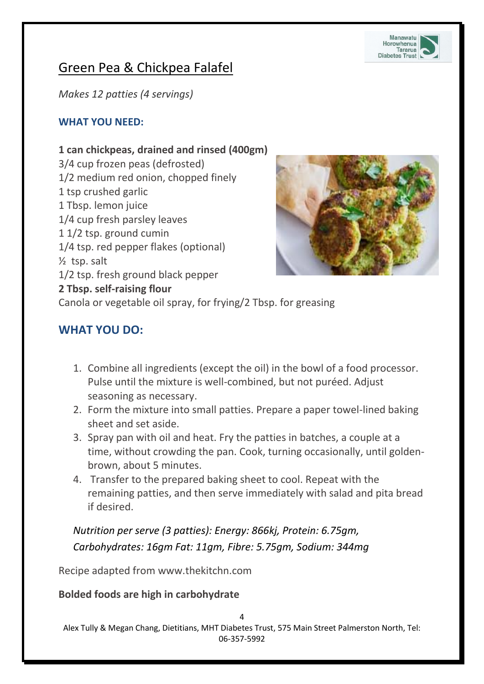

## Green Pea & Chickpea Falafel

*Makes 12 patties (4 servings)*

#### **WHAT YOU NEED:**

### **1 can chickpeas, drained and rinsed (400gm)**

3/4 cup frozen peas (defrosted) 1/2 medium red onion, chopped finely 1 tsp crushed garlic 1 Tbsp. lemon juice 1/4 cup fresh parsley leaves 1 1/2 tsp. ground cumin 1/4 tsp. red pepper flakes (optional) ½ tsp. salt 1/2 tsp. fresh ground black pepper



#### **2 Tbsp. self-raising flour**

Canola or vegetable oil spray, for frying/2 Tbsp. for greasing

### **[WHAT](https://www.sanitarium.com.au/recipes/a-z/zucchini-and-butter-bean-slice#method) YOU DO:**

- 1. Combine all ingredients (except the oil) in the bowl of a food processor. Pulse until the mixture is well-combined, but not puréed. Adjust seasoning as necessary.
- 2. Form the mixture into small patties. Prepare a paper towel-lined baking sheet and set aside.
- 3. Spray pan with oil and heat. Fry the patties in batches, a couple at a time, without crowding the pan. Cook, turning occasionally, until goldenbrown, about 5 minutes.
- 4. Transfer to the prepared baking sheet to cool. Repeat with the remaining patties, and then serve immediately with salad and pita bread if desired.

*Nutrition per serve (3 patties): Energy: 866kj, Protein: 6.75gm, Carbohydrates: 16gm Fat: 11gm, Fibre: 5.75gm, Sodium: 344mg*

Recipe adapted from www.thekitchn.com

#### **Bolded foods are high in carbohydrate**

Alex Tully & Megan Chang, Dietitians, MHT Diabetes Trust, 575 Main Street Palmerston North, Tel: 06-357-5992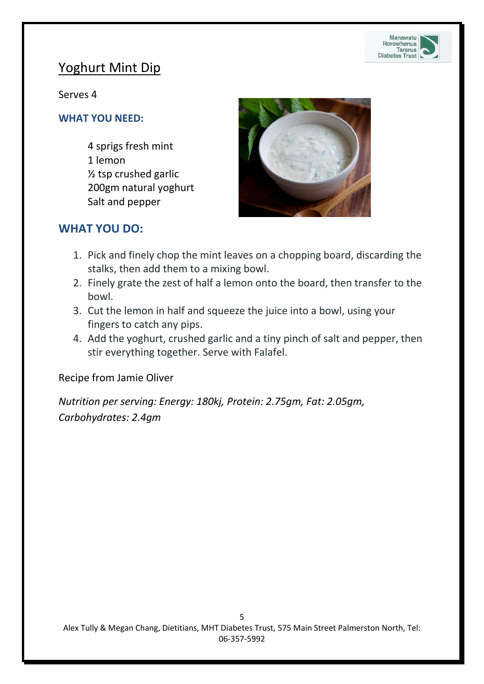

### Yoghurt Mint Dip

Serves 4

#### **WHAT YOU NEED:**

4 sprigs fresh mint 1 lemon ½ tsp crushed garlic 200gm natural yoghurt Salt and pepper



### **[WHAT](https://www.sanitarium.com.au/recipes/a-z/zucchini-and-butter-bean-slice#method) YOU DO:**

- 1. Pick and finely chop the mint leaves on a chopping board, discarding the stalks, then add them to a mixing bowl.
- 2. Finely grate the zest of half a lemon onto the board, then transfer to the bowl.
- 3. Cut the lemon in half and squeeze the juice into a bowl, using your fingers to catch any pips.
- 4. Add the yoghurt, crushed garlic and a tiny pinch of salt and pepper, then stir everything together. Serve with Falafel.

Recipe from Jamie Oliver

*Nutrition per serving: Energy: 180kj, Protein: 2.75gm, Fat: 2.05gm, Carbohydrates: 2.4gm*